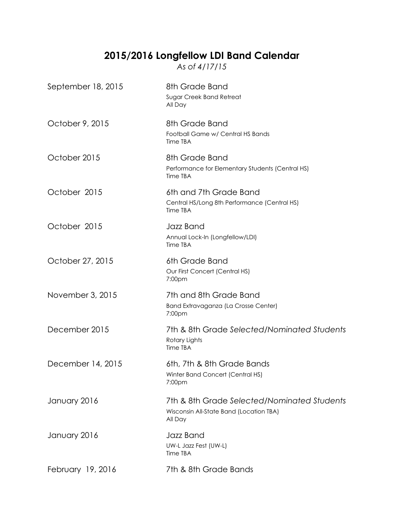## **2015/2016 Longfellow LDI Band Calendar**

*As of 4/17/15*

| September 18, 2015 | 8th Grade Band<br>Sugar Creek Band Retreat<br>All Day                                             |
|--------------------|---------------------------------------------------------------------------------------------------|
| October 9, 2015    | 8th Grade Band<br>Football Game w/ Central HS Bands<br>Time TBA                                   |
| October 2015       | 8th Grade Band<br>Performance for Elementary Students (Central HS)<br>Time TBA                    |
| October 2015       | 6th and 7th Grade Band<br>Central HS/Long 8th Performance (Central HS)<br>Time TBA                |
| October 2015       | Jazz Band<br>Annual Lock-In (Longfellow/LDI)<br>Time TBA                                          |
| October 27, 2015   | 6th Grade Band<br>Our First Concert (Central HS)<br>7:00pm                                        |
| November 3, 2015   | 7th and 8th Grade Band<br>Band Extravaganza (La Crosse Center)<br>7:00pm                          |
| December 2015      | 7th & 8th Grade Selected/Nominated Students<br>Rotary Lights<br>Time TBA                          |
| December 14, 2015  | 6th, 7th & 8th Grade Bands<br>Winter Band Concert (Central HS)<br>7:00 <sub>pm</sub>              |
| January 2016       | 7th & 8th Grade Selected/Nominated Students<br>Wisconsin All-State Band (Location TBA)<br>All Day |
| January 2016       | Jazz Band<br>UW-L Jazz Fest (UW-L)<br>Time TBA                                                    |
| February 19, 2016  | 7th & 8th Grade Bands                                                                             |